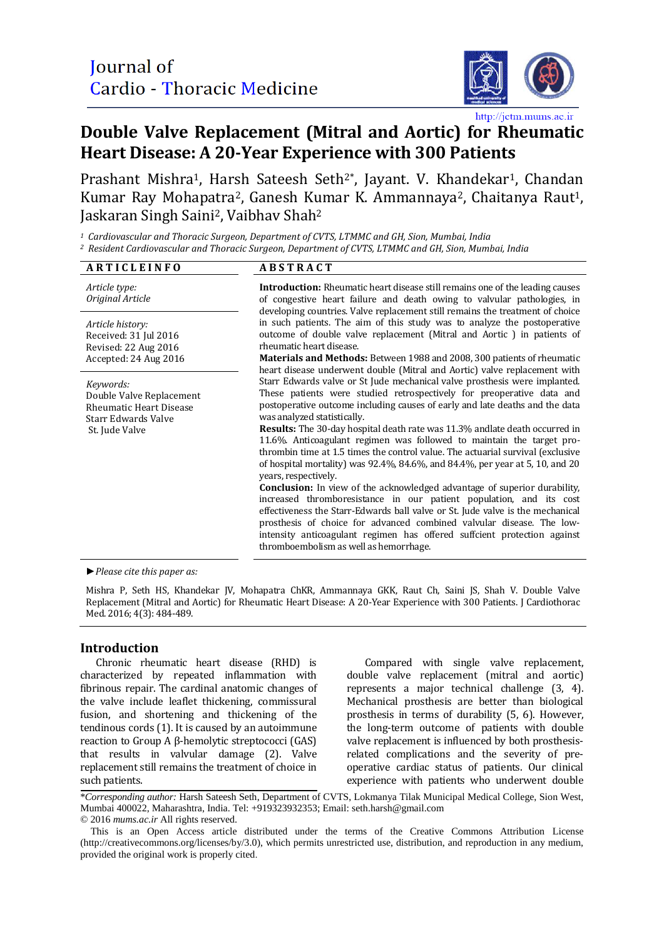

# **Double Valve Replacement (Mitral and Aortic) for Rheumatic Heart Disease: A 20-Year Experience with 300 Patients**

Prashant Mishra<sup>1</sup>, Harsh Sateesh Seth<sup>2\*</sup>, Jayant. V. Khandekar<sup>1</sup>, Chandan Kumar Ray Mohapatra<sup>2</sup>, Ganesh Kumar K. Ammannaya<sup>2</sup>, Chaitanya Raut<sup>1</sup>, Jaskaran Singh Saini2, Vaibhav Shah<sup>2</sup>

*<sup>1</sup> Cardiovascular and Thoracic Surgeon, Department of CVTS, LTMMC and GH, Sion, Mumbai, India <sup>2</sup> Resident Cardiovascular and Thoracic Surgeon, Department of CVTS, LTMMC and GH, Sion, Mumbai, India*

| <b>ARTICLEINFO</b>                                                                                               | <b>ABSTRACT</b>                                                                                                                                                                                                                                                                                                                                                                                                                                                                                                                                                                                                                                                                                                                                                                                                                                                                                                                                                                                                                                                                      |  |  |
|------------------------------------------------------------------------------------------------------------------|--------------------------------------------------------------------------------------------------------------------------------------------------------------------------------------------------------------------------------------------------------------------------------------------------------------------------------------------------------------------------------------------------------------------------------------------------------------------------------------------------------------------------------------------------------------------------------------------------------------------------------------------------------------------------------------------------------------------------------------------------------------------------------------------------------------------------------------------------------------------------------------------------------------------------------------------------------------------------------------------------------------------------------------------------------------------------------------|--|--|
| Article type:<br>Original Article                                                                                | <b>Introduction:</b> Rheumatic heart disease still remains one of the leading causes<br>of congestive heart failure and death owing to valvular pathologies, in<br>developing countries. Valve replacement still remains the treatment of choice                                                                                                                                                                                                                                                                                                                                                                                                                                                                                                                                                                                                                                                                                                                                                                                                                                     |  |  |
| Article history:<br>Received: 31 Jul 2016<br>Revised: 22 Aug 2016<br>Accepted: 24 Aug 2016                       | in such patients. The aim of this study was to analyze the postoperative<br>outcome of double valve replacement (Mitral and Aortic) in patients of<br>rheumatic heart disease.<br><b>Materials and Methods:</b> Between 1988 and 2008, 300 patients of rheumatic<br>heart disease underwent double (Mitral and Aortic) valve replacement with                                                                                                                                                                                                                                                                                                                                                                                                                                                                                                                                                                                                                                                                                                                                        |  |  |
| Keywords:<br>Double Valve Replacement<br><b>Rheumatic Heart Disease</b><br>Starr Edwards Valve<br>St. Jude Valve | Starr Edwards valve or St Jude mechanical valve prosthesis were implanted.<br>These patients were studied retrospectively for preoperative data and<br>postoperative outcome including causes of early and late deaths and the data<br>was analyzed statistically.<br><b>Results:</b> The 30-day hospital death rate was 11.3% and at death occurred in<br>11.6%. Anticoagulant regimen was followed to maintain the target pro-<br>thrombin time at 1.5 times the control value. The actuarial survival (exclusive<br>of hospital mortality) was $92.4\%$ , $84.6\%$ , and $84.4\%$ , per year at 5, 10, and 20<br>years, respectively.<br><b>Conclusion:</b> In view of the acknowledged advantage of superior durability,<br>increased thromboresistance in our patient population, and its cost<br>effectiveness the Starr-Edwards ball valve or St. Jude valve is the mechanical<br>prosthesis of choice for advanced combined valvular disease. The low-<br>intensity anticoagulant regimen has offered suffcient protection against<br>thromboembolism as well as hemorrhage. |  |  |

*►Please cite this paper as:*

Mishra P, Seth HS, Khandekar JV, Mohapatra ChKR, Ammannaya GKK, Raut Ch, Saini JS, Shah V. Double Valve Replacement (Mitral and Aortic) for Rheumatic Heart Disease: A 20-Year Experience with 300 Patients. J Cardiothorac Med. 2016; 4(3): 484-489.

# **Introduction**

Chronic rheumatic heart disease (RHD) is characterized by repeated inflammation with fibrinous repair. The cardinal anatomic changes of the valve include leaflet thickening, commissural fusion, and shortening and thickening of the tendinous cords (1). It is caused by an autoimmune reaction to Group A β-hemolytic streptococci (GAS) that results in valvular damage (2). Valve replacement still remains the treatment of choice in such patients.

Compared with single valve replacement, double valve replacement (mitral and aortic) represents a major technical challenge (3, 4). Mechanical prosthesis are better than biological prosthesis in terms of durability (5, 6). However, the long-term outcome of patients with double valve replacement is influenced by both prosthesisrelated complications and the severity of preoperative cardiac status of patients. Our clinical experience with patients who underwent double

\**Corresponding author:* Harsh Sateesh Seth, Department of CVTS, Lokmanya Tilak Municipal Medical College, Sion West, Mumbai 400022, Maharashtra, India. Tel: +919323932353; Email: seth.harsh@gmail.com © 2016 *mums.ac.ir* All rights reserved.

This is an Open Access article distributed under the terms of the Creative Commons Attribution License (http://creativecommons.org/licenses/by/3.0), which permits unrestricted use, distribution, and reproduction in any medium, provided the original work is properly cited.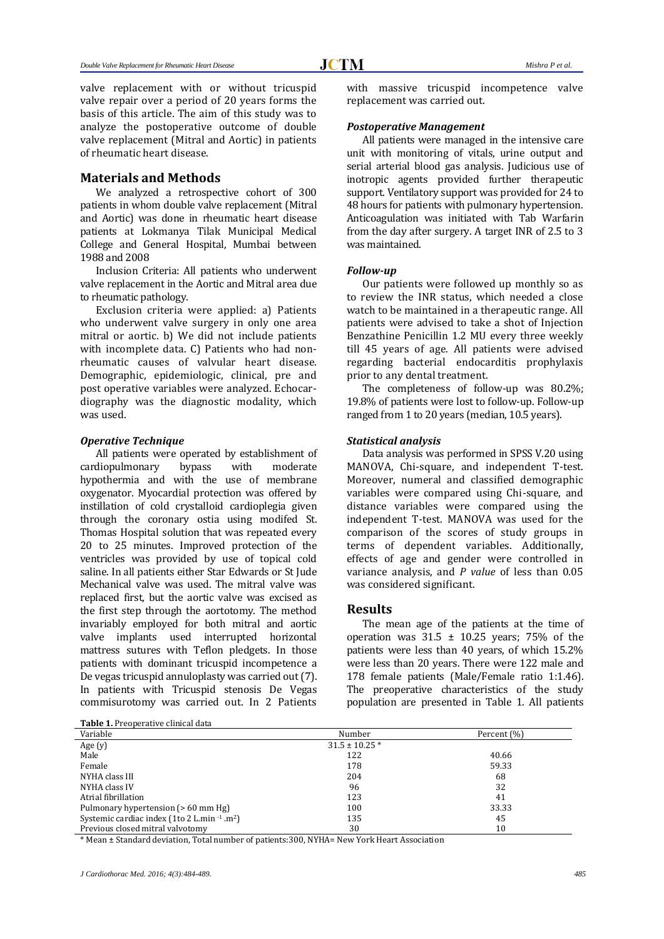valve replacement with or without tricuspid valve repair over a period of 20 years forms the basis of this article. The aim of this study was to analyze the postoperative outcome of double valve replacement (Mitral and Aortic) in patients of rheumatic heart disease.

## **Materials and Methods**

We analyzed a retrospective cohort of 300 patients in whom double valve replacement (Mitral and Aortic) was done in rheumatic heart disease patients at Lokmanya Tilak Municipal Medical College and General Hospital, Mumbai between 1988 and 2008

Inclusion Criteria: All patients who underwent valve replacement in the Aortic and Mitral area due to rheumatic pathology.

Exclusion criteria were applied: a) Patients who underwent valve surgery in only one area mitral or aortic. b) We did not include patients with incomplete data. C) Patients who had nonrheumatic causes of valvular heart disease. Demographic, epidemiologic, clinical, pre and post operative variables were analyzed. Echocardiography was the diagnostic modality, which was used.

#### *Operative Technique*

All patients were operated by establishment of cardiopulmonary bypass with moderate hypothermia and with the use of membrane oxygenator. Myocardial protection was offered by instillation of cold crystalloid cardioplegia given through the coronary ostia using modifed St. Thomas Hospital solution that was repeated every 20 to 25 minutes. Improved protection of the ventricles was provided by use of topical cold saline. In all patients either Star Edwards or St Jude Mechanical valve was used. The mitral valve was replaced first, but the aortic valve was excised as the first step through the aortotomy. The method invariably employed for both mitral and aortic valve implants used interrupted horizontal mattress sutures with Teflon pledgets. In those patients with dominant tricuspid incompetence a De vegas tricuspid annuloplasty was carried out (7). In patients with Tricuspid stenosis De Vegas commisurotomy was carried out. In 2 Patients

**Table 1.** Preoperative clinical data

with massive tricuspid incompetence valve replacement was carried out.

#### *Postoperative Management*

All patients were managed in the intensive care unit with monitoring of vitals, urine output and serial arterial blood gas analysis. Judicious use of inotropic agents provided further therapeutic support. Ventilatory support was provided for 24 to 48 hours for patients with pulmonary hypertension. Anticoagulation was initiated with Tab Warfarin from the day after surgery. A target INR of 2.5 to 3 was maintained.

#### *Follow-up*

Our patients were followed up monthly so as to review the INR status, which needed a close watch to be maintained in a therapeutic range. All patients were advised to take a shot of Injection Benzathine Penicillin 1.2 MU every three weekly till 45 years of age. All patients were advised regarding bacterial endocarditis prophylaxis prior to any dental treatment.

The completeness of follow-up was 80.2%; 19.8% of patients were lost to follow-up. Follow-up ranged from 1 to 20 years (median, 10.5 years).

#### *Statistical analysis*

Data analysis was performed in SPSS V.20 using MANOVA, Chi-square, and independent T-test. Moreover, numeral and classified demographic variables were compared using Chi-square, and distance variables were compared using the independent T-test. MANOVA was used for the comparison of the scores of study groups in terms of dependent variables. Additionally, effects of age and gender were controlled in variance analysis, and *P value* of less than 0.05 was considered significant.

# **Results**

The mean age of the patients at the time of operation was  $31.5 \pm 10.25$  years; 75% of the patients were less than 40 years, of which 15.2% were less than 20 years. There were 122 male and 178 female patients (Male/Female ratio 1:1.46). The preoperative characteristics of the study population are presented in Table 1. All patients

| Variable                                                   | Number             | Percent (%) |
|------------------------------------------------------------|--------------------|-------------|
| Age (y)                                                    | $31.5 \pm 10.25$ * |             |
| Male                                                       | 122                | 40.66       |
| Female                                                     | 178                | 59.33       |
| NYHA class III                                             | 204                | 68          |
| NYHA class IV                                              | 96                 | 32          |
| Atrial fibrillation                                        | 123                | 41          |
| Pulmonary hypertension (> 60 mm Hg)                        | 100                | 33.33       |
| Systemic cardiac index (1to 2 L.min $-1$ .m <sup>2</sup> ) | 135                | 45          |
| Previous closed mitral valvotomy                           | 30                 | 10          |

\* Mean ± Standard deviation, Total number of patients:300, NYHA= New York Heart Association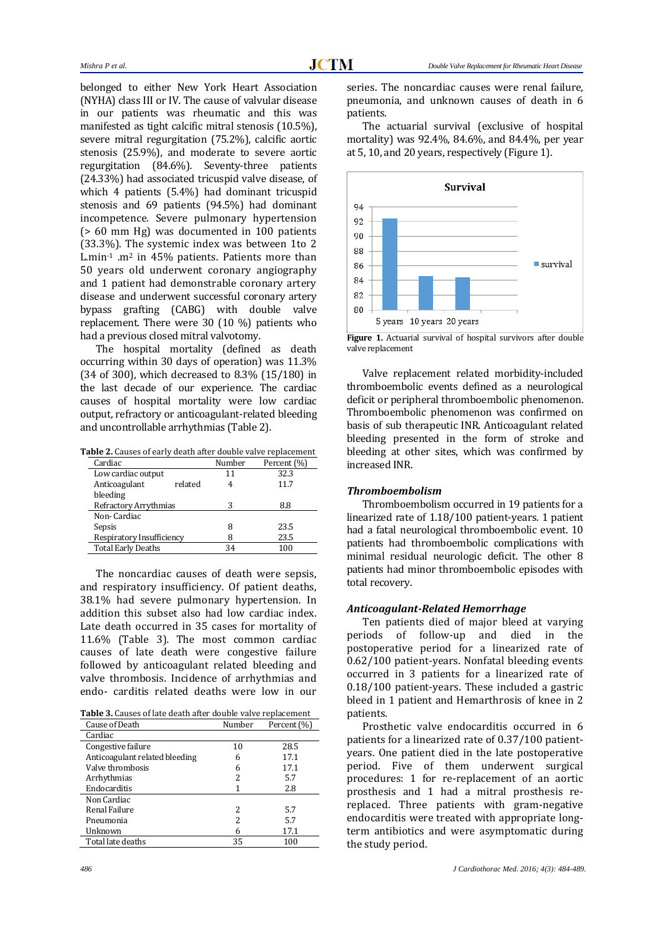belonged to either New York Heart Association (NYHA) class III or IV. The cause of valvular disease in our patients was rheumatic and this was manifested as tight calcific mitral stenosis (10.5%), severe mitral regurgitation (75.2%), calcific aortic stenosis (25.9%), and moderate to severe aortic regurgitation (84.6%). Seventy-three patients (24.33%) had associated tricuspid valve disease, of which 4 patients (5.4%) had dominant tricuspid stenosis and 69 patients (94.5%) had dominant incompetence. Severe pulmonary hypertension (> 60 mm Hg) was documented in 100 patients (33.3%). The systemic index was between 1to 2 L.min-1 .m<sup>2</sup> in 45% patients. Patients more than 50 years old underwent coronary angiography and 1 patient had demonstrable coronary artery disease and underwent successful coronary artery bypass grafting (CABG) with double valve replacement. There were 30 (10 %) patients who had a previous closed mitral valvotomy.

The hospital mortality (defined as death occurring within 30 days of operation) was 11.3% (34 of 300), which decreased to 8.3% (15/180) in the last decade of our experience. The cardiac causes of hospital mortality were low cardiac output, refractory or anticoagulant-related bleeding and uncontrollable arrhythmias (Table 2).

**Table 2.** Causes of early death after double valve replacement

| Cardiac                   | Number | Percent (%) |
|---------------------------|--------|-------------|
| Low cardiac output        | 11     | 32.3        |
| Anticoagulant<br>related  |        | 11.7        |
| bleeding                  |        |             |
| Refractory Arrythmias     | 3      | 8.8         |
| Non-Cardiac               |        |             |
| Sepsis                    | 8      | 23.5        |
| Respiratory Insufficiency | 8      | 23.5        |
| <b>Total Early Deaths</b> | 34     | 100         |
|                           |        |             |

The noncardiac causes of death were sepsis, and respiratory insufficiency. Of patient deaths, 38.1% had severe pulmonary hypertension. In addition this subset also had low cardiac index. Late death occurred in 35 cases for mortality of 11.6% (Table 3). The most common cardiac causes of late death were congestive failure followed by anticoagulant related bleeding and valve thrombosis. Incidence of arrhythmias and endo- carditis related deaths were low in our

**Table 3.** Causes of late death after double valve replacement

| Cause of Death                 | Number | Percent (%) |
|--------------------------------|--------|-------------|
| Cardiac                        |        |             |
| Congestive failure             | 10     | 28.5        |
| Anticoagulant related bleeding | 6      | 17.1        |
| Valve thrombosis               | 6      | 17.1        |
| Arrhythmias                    | 2      | 5.7         |
| Endocarditis                   |        | 2.8         |
| Non Cardiac                    |        |             |
| Renal Failure                  | 2      | 5.7         |
| Pneumonia                      | 2      | 5.7         |
| Unknown                        | 6      | 17.1        |
| Total late deaths              | 35     | 100         |

series. The noncardiac causes were renal failure, pneumonia, and unknown causes of death in 6 patients.

The actuarial survival (exclusive of hospital mortality) was 92.4%, 84.6%, and 84.4%, per year at 5, 10, and 20 years, respectively (Figure 1).



Figure 1. Actuarial survival of hospital survivors after double valve replacement

Valve replacement related morbidity-included thromboembolic events defined as a neurological deficit or peripheral thromboembolic phenomenon. Thromboembolic phenomenon was confirmed on basis of sub therapeutic INR. Anticoagulant related bleeding presented in the form of stroke and bleeding at other sites, which was confirmed by increased INR.

#### *Thromboembolism*

Thromboembolism occurred in 19 patients for a linearized rate of 1.18/100 patient-years. 1 patient had a fatal neurological thromboembolic event. 10 patients had thromboembolic complications with minimal residual neurologic deficit. The other 8 patients had minor thromboembolic episodes with total recovery.

#### *Anticoagulant-Related Hemorrhage*

Ten patients died of major bleed at varying periods of follow-up and died in the postoperative period for a linearized rate of 0.62/100 patient-years. Nonfatal bleeding events occurred in 3 patients for a linearized rate of 0.18/100 patient-years. These included a gastric bleed in 1 patient and Hemarthrosis of knee in 2 patients.

Prosthetic valve endocarditis occurred in 6 patients for a linearized rate of 0.37/100 patientyears. One patient died in the late postoperative period. Five of them underwent surgical procedures: 1 for re-replacement of an aortic prosthesis and 1 had a mitral prosthesis rereplaced. Three patients with gram-negative endocarditis were treated with appropriate longterm antibiotics and were asymptomatic during the study period.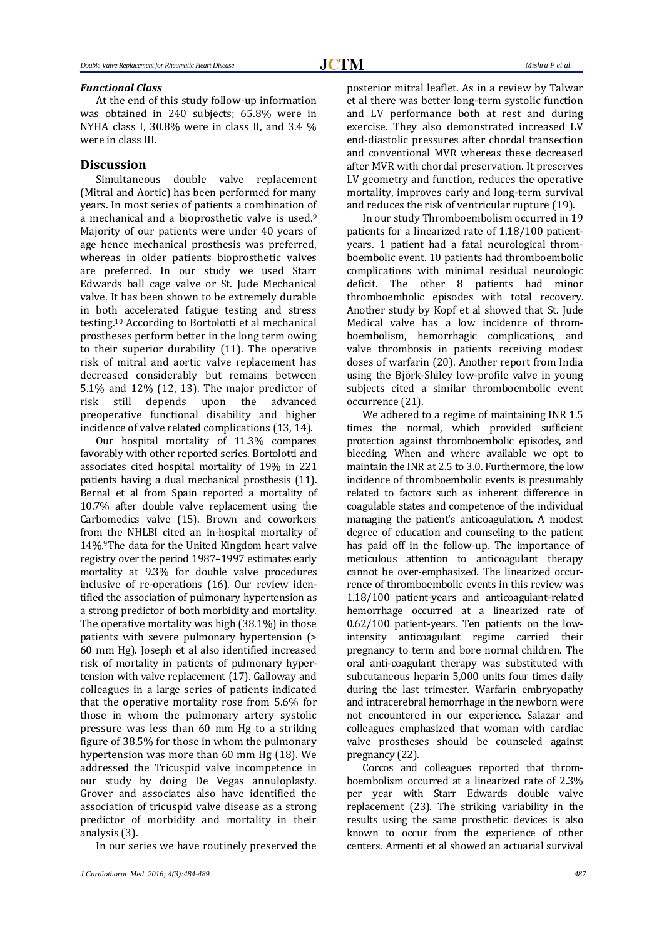### *Functional Class*

At the end of this study follow-up information was obtained in 240 subjects; 65.8% were in NYHA class I, 30.8% were in class II, and 3.4 % were in class III.

# **Discussion**

Simultaneous double valve replacement (Mitral and Aortic) has been performed for many years. In most series of patients a combination of a mechanical and a bioprosthetic valve is used.<sup>9</sup> Majority of our patients were under 40 years of age hence mechanical prosthesis was preferred, whereas in older patients bioprosthetic valves are preferred. In our study we used Starr Edwards ball cage valve or St. Jude Mechanical valve. It has been shown to be extremely durable in both accelerated fatigue testing and stress testing.<sup>10</sup> According to Bortolotti et al mechanical prostheses perform better in the long term owing to their superior durability (11). The operative risk of mitral and aortic valve replacement has decreased considerably but remains between 5.1% and 12% (12, 13). The major predictor of risk still depends upon the advanced preoperative functional disability and higher incidence of valve related complications (13, 14).

Our hospital mortality of 11.3% compares favorably with other reported series. Bortolotti and associates cited hospital mortality of 19% in 221 patients having a dual mechanical prosthesis (11). Bernal et al from Spain reported a mortality of 10.7% after double valve replacement using the Carbomedics valve (15). Brown and coworkers from the NHLBI cited an in-hospital mortality of 14%.9The data for the United Kingdom heart valve registry over the period 1987–1997 estimates early mortality at 9.3% for double valve procedures inclusive of re-operations (16). Our review identified the association of pulmonary hypertension as a strong predictor of both morbidity and mortality. The operative mortality was high (38.1%) in those patients with severe pulmonary hypertension (> 60 mm Hg). Joseph et al also identified increased risk of mortality in patients of pulmonary hypertension with valve replacement (17). Galloway and colleagues in a large series of patients indicated that the operative mortality rose from 5.6% for those in whom the pulmonary artery systolic pressure was less than 60 mm Hg to a striking figure of 38.5% for those in whom the pulmonary hypertension was more than 60 mm Hg (18). We addressed the Tricuspid valve incompetence in our study by doing De Vegas annuloplasty. Grover and associates also have identified the association of tricuspid valve disease as a strong predictor of morbidity and mortality in their analysis (3).

In our series we have routinely preserved the

posterior mitral leaflet. As in a review by Talwar et al there was better long-term systolic function and LV performance both at rest and during exercise. They also demonstrated increased LV end-diastolic pressures after chordal transection and conventional MVR whereas these decreased after MVR with chordal preservation. It preserves LV geometry and function, reduces the operative mortality, improves early and long-term survival and reduces the risk of ventricular rupture (19).

In our study Thromboembolism occurred in 19 patients for a linearized rate of 1.18/100 patientyears. 1 patient had a fatal neurological thromboembolic event. 10 patients had thromboembolic complications with minimal residual neurologic deficit. The other 8 patients had minor thromboembolic episodes with total recovery. Another study by Kopf et al showed that St. Jude Medical valve has a low incidence of thromboembolism, hemorrhagic complications, and valve thrombosis in patients receiving modest doses of warfarin (20). Another report from India using the Björk-Shiley low-profile valve in young subjects cited a similar thromboembolic event occurrence (21).

We adhered to a regime of maintaining INR 1.5 times the normal, which provided sufficient protection against thromboembolic episodes, and bleeding. When and where available we opt to maintain the INR at 2.5 to 3.0. Furthermore, the low incidence of thromboembolic events is presumably related to factors such as inherent difference in coagulable states and competence of the individual managing the patient's anticoagulation. A modest degree of education and counseling to the patient has paid off in the follow-up. The importance of meticulous attention to anticoagulant therapy cannot be over-emphasized. The linearized occurrence of thromboembolic events in this review was 1.18/100 patient-years and anticoagulant-related hemorrhage occurred at a linearized rate of 0.62/100 patient-years. Ten patients on the lowintensity anticoagulant regime carried their pregnancy to term and bore normal children. The oral anti-coagulant therapy was substituted with subcutaneous heparin 5,000 units four times daily during the last trimester. Warfarin embryopathy and intracerebral hemorrhage in the newborn were not encountered in our experience. Salazar and colleagues emphasized that woman with cardiac valve prostheses should be counseled against pregnancy (22).

Corcos and colleagues reported that thromboembolism occurred at a linearized rate of 2.3% per year with Starr Edwards double valve replacement (23). The striking variability in the results using the same prosthetic devices is also known to occur from the experience of other centers. Armenti et al showed an actuarial survival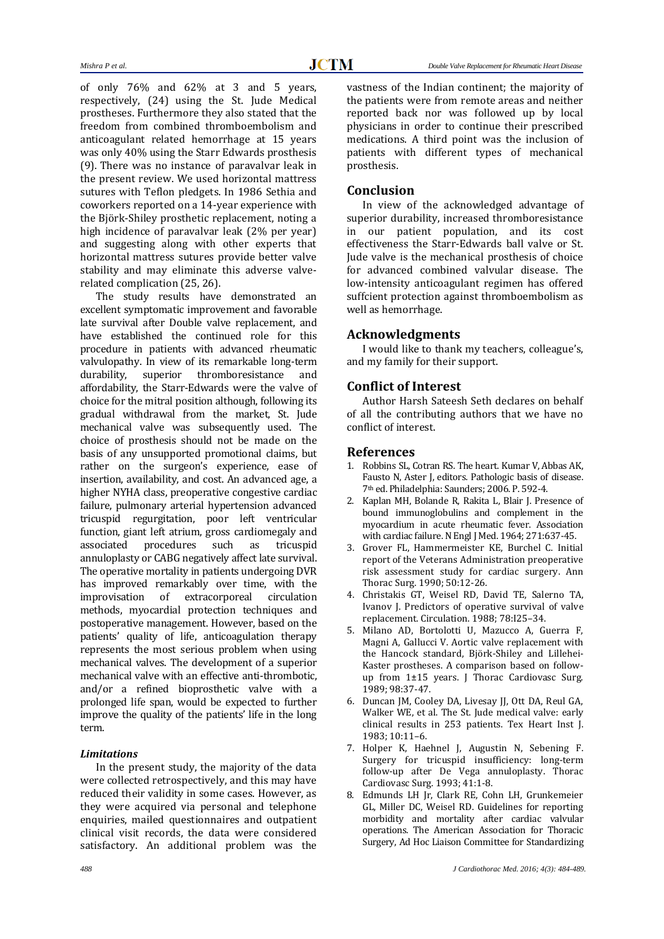of only 76% and 62% at 3 and 5 years, respectively, (24) using the St. Jude Medical prostheses. Furthermore they also stated that the freedom from combined thromboembolism and anticoagulant related hemorrhage at 15 years was only 40% using the Starr Edwards prosthesis (9). There was no instance of paravalvar leak in the present review. We used horizontal mattress sutures with Teflon pledgets. In 1986 Sethia and coworkers reported on a 14-year experience with the Björk-Shiley prosthetic replacement, noting a high incidence of paravalvar leak (2% per year) and suggesting along with other experts that horizontal mattress sutures provide better valve stability and may eliminate this adverse valverelated complication (25, 26).

The study results have demonstrated an excellent symptomatic improvement and favorable late survival after Double valve replacement, and have established the continued role for this procedure in patients with advanced rheumatic valvulopathy. In view of its remarkable long-term durability, superior thromboresistance and affordability, the Starr-Edwards were the valve of choice for the mitral position although, following its gradual withdrawal from the market, St. Jude mechanical valve was subsequently used. The choice of prosthesis should not be made on the basis of any unsupported promotional claims, but rather on the surgeon's experience, ease of insertion, availability, and cost. An advanced age, a higher NYHA class, preoperative congestive cardiac failure, pulmonary arterial hypertension advanced tricuspid regurgitation, poor left ventricular function, giant left atrium, gross cardiomegaly and associated procedures such as tricuspid annuloplasty or CABG negatively affect late survival. The operative mortality in patients undergoing DVR has improved remarkably over time, with the improvisation of extracorporeal circulation methods, myocardial protection techniques and postoperative management. However, based on the patients' quality of life, anticoagulation therapy represents the most serious problem when using mechanical valves. The development of a superior mechanical valve with an effective anti-thrombotic, and/or a refined bioprosthetic valve with a prolonged life span, would be expected to further improve the quality of the patients' life in the long term.

#### *Limitations*

In the present study, the majority of the data were collected retrospectively, and this may have reduced their validity in some cases. However, as they were acquired via personal and telephone enquiries, mailed questionnaires and outpatient clinical visit records, the data were considered satisfactory. An additional problem was the vastness of the Indian continent; the majority of the patients were from remote areas and neither reported back nor was followed up by local physicians in order to continue their prescribed medications. A third point was the inclusion of patients with different types of mechanical prosthesis.

#### **Conclusion**

In view of the acknowledged advantage of superior durability, increased thromboresistance in our patient population, and its cost effectiveness the Starr-Edwards ball valve or St. Jude valve is the mechanical prosthesis of choice for advanced combined valvular disease. The low-intensity anticoagulant regimen has offered suffcient protection against thromboembolism as well as hemorrhage.

## **Acknowledgments**

I would like to thank my teachers, colleague's, and my family for their support.

### **Conflict of Interest**

Author Harsh Sateesh Seth declares on behalf of all the contributing authors that we have no conflict of interest.

#### **References**

- 1. Robbins SL, Cotran RS. The heart. Kumar V, Abbas AK, Fausto N, Aster J, editors. Pathologic basis of disease. 7th ed. Philadelphia: Saunders; 2006. P. 592-4.
- 2. Kaplan MH, Bolande R, Rakita L, Blair J. Presence of bound immunoglobulins and complement in the myocardium in acute rheumatic fever. Association with cardiac failure. N Engl J Med. 1964; 271:637-45.
- 3. Grover FL, Hammermeister KE, Burchel C. Initial report of the Veterans Administration preoperative risk assessment study for cardiac surgery. Ann Thorac Surg. 1990; 50:12-26.
- 4. Christakis GT, Weisel RD, David TE, Salerno TA, Ivanov J. Predictors of operative survival of valve replacement. Circulation. 1988; 78:I25–34.
- 5. Milano AD, Bortolotti U, Mazucco A, Guerra F, Magni A, Gallucci V. Aortic valve replacement with the Hancock standard, Björk-Shiley and Lillehei-Kaster prostheses. A comparison based on followup from 1±15 years. J Thorac Cardiovasc Surg. 1989; 98:37-47.
- 6. Duncan JM, Cooley DA, Livesay JJ, Ott DA, Reul GA, Walker WE, et al. [The St. Jude](http://www.ncbi.nlm.nih.gov/pmc/articles/PMC341593/) medical valve: early clinical results in 253 [patients.](http://www.ncbi.nlm.nih.gov/pmc/articles/PMC341593/) Tex Heart Inst J. 1983; 10:11–6.
- 7. Holper K, Haehnel J, Augustin N, Sebening F. Surgery for tricuspid insufficiency: long-term follow-up after De Vega annuloplasty. Thorac Cardiovasc Surg. 1993; 41:1-8.
- 8. Edmunds LH Jr, Clark RE, Cohn LH, Grunkemeier GL, Miller DC, Weisel RD. Guidelines for reporting morbidity and mortality after cardiac valvular operations. The American Association for Thoracic Surgery, Ad Hoc Liaison Committee for Standardizing